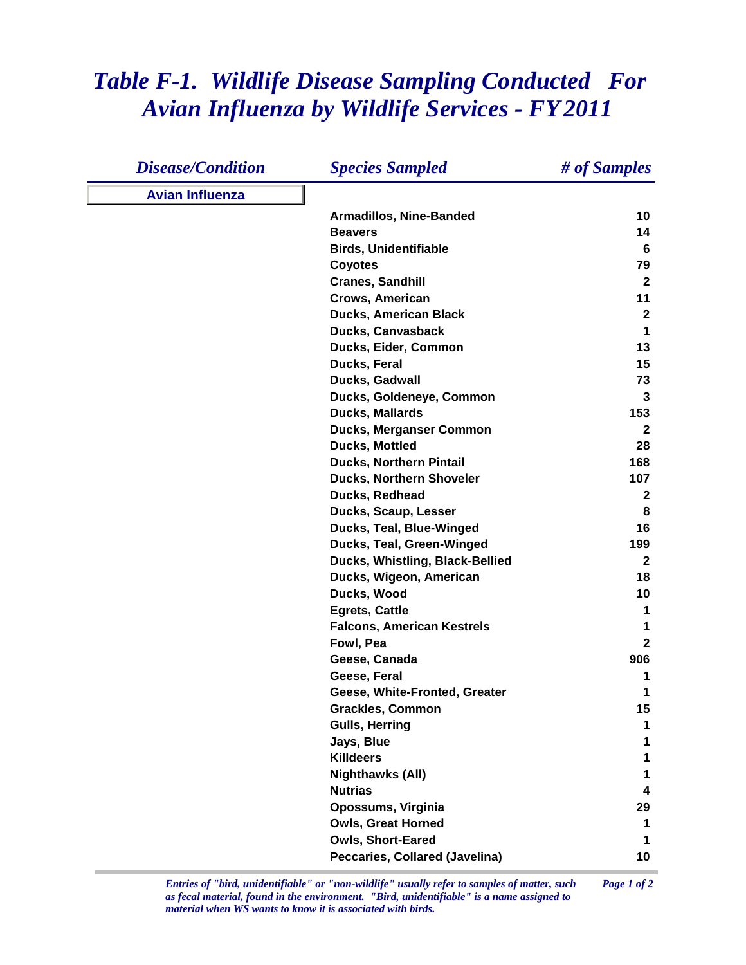## *Table F-1. Wildlife Disease Sampling Conducted For Avian Influenza by Wildlife Services - FY 2011*

| <b>Disease/Condition</b> | <b>Species Sampled</b>            | # of Samples |
|--------------------------|-----------------------------------|--------------|
| <b>Avian Influenza</b>   |                                   |              |
|                          | <b>Armadillos, Nine-Banded</b>    | 10           |
|                          | <b>Beavers</b>                    | 14           |
|                          | <b>Birds, Unidentifiable</b>      | 6            |
|                          | <b>Coyotes</b>                    | 79           |
|                          | <b>Cranes, Sandhill</b>           | $\mathbf{2}$ |
|                          | Crows, American                   | 11           |
|                          | <b>Ducks, American Black</b>      | $\mathbf{2}$ |
|                          | <b>Ducks, Canvasback</b>          | 1            |
|                          | Ducks, Eider, Common              | 13           |
|                          | Ducks, Feral                      | 15           |
|                          | Ducks, Gadwall                    | 73           |
|                          | Ducks, Goldeneye, Common          | 3            |
|                          | <b>Ducks, Mallards</b>            | 153          |
|                          | Ducks, Merganser Common           | $\mathbf{2}$ |
|                          | <b>Ducks, Mottled</b>             | 28           |
|                          | <b>Ducks, Northern Pintail</b>    | 168          |
|                          | <b>Ducks, Northern Shoveler</b>   | 107          |
|                          | Ducks, Redhead                    | $\mathbf 2$  |
|                          | Ducks, Scaup, Lesser              | 8            |
|                          | Ducks, Teal, Blue-Winged          | 16           |
|                          | Ducks, Teal, Green-Winged         | 199          |
|                          | Ducks, Whistling, Black-Bellied   | $\mathbf{2}$ |
|                          | Ducks, Wigeon, American           | 18           |
|                          | Ducks, Wood                       | 10           |
|                          | <b>Egrets, Cattle</b>             | 1            |
|                          | <b>Falcons, American Kestrels</b> | 1            |
|                          | Fowl, Pea                         | $\mathbf{2}$ |
|                          | Geese, Canada                     | 906          |
|                          | Geese, Feral                      | 1            |
|                          | Geese, White-Fronted, Greater     | 1            |
|                          | <b>Grackles, Common</b>           | 15           |
|                          | <b>Gulls, Herring</b>             | 1            |
|                          | Jays, Blue                        |              |
|                          | <b>Killdeers</b>                  |              |
|                          | <b>Nighthawks (All)</b>           |              |
|                          | <b>Nutrias</b>                    | 4            |
|                          | Opossums, Virginia                | 29           |
|                          | <b>Owls, Great Horned</b>         | 1            |
|                          | <b>Owls, Short-Eared</b>          | 1            |
|                          | Peccaries, Collared (Javelina)    | 10           |